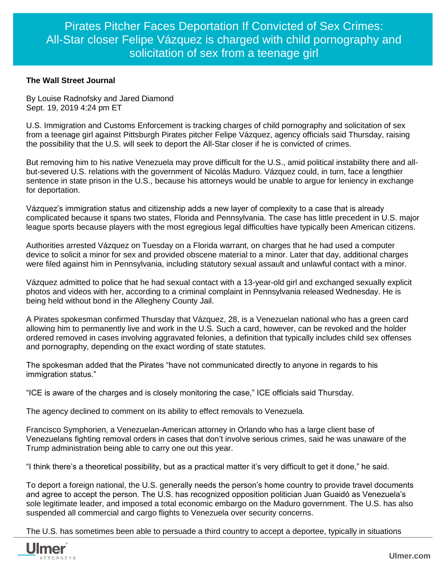## **The Wall Street Journal**

By Louise Radnofsky and Jared Diamond Sept. 19, 2019 4:24 pm ET

U.S. Immigration and Customs Enforcement is tracking charges of child pornography and solicitation of sex from a teenage girl against Pittsburgh Pirates pitcher Felipe Vázquez, agency officials said Thursday, raising the possibility that the U.S. will seek to deport the All-Star closer if he is convicted of crimes.

But removing him to his native Venezuela may prove difficult for the U.S., amid political instability there and allbut-severed U.S. relations with the government of Nicolás Maduro. Vázquez could, in turn, face a lengthier sentence in state prison in the U.S., because his attorneys would be unable to argue for leniency in exchange for deportation.

Vázquez's immigration status and citizenship adds a new layer of complexity to a case that is already complicated because it spans two states, Florida and Pennsylvania. The case has little precedent in U.S. major league sports because players with the most egregious legal difficulties have typically been American citizens.

Authorities arrested Vázquez on Tuesday on a Florida warrant, on charges that he had used a computer device to solicit a minor for sex and provided obscene material to a minor. Later that day, additional charges were filed against him in Pennsylvania, including statutory sexual assault and unlawful contact with a minor.

Vázquez admitted to police that he had sexual contact with a 13-year-old girl and exchanged sexually explicit photos and videos with her, according to a criminal complaint in Pennsylvania released Wednesday. He is being held without bond in the Allegheny County Jail.

A Pirates spokesman confirmed Thursday that Vázquez, 28, is a Venezuelan national who has a green card allowing him to permanently live and work in the U.S. Such a card, however, can be revoked and the holder ordered removed in cases involving aggravated felonies, a definition that typically includes child sex offenses and pornography, depending on the exact wording of state statutes.

The spokesman added that the Pirates "have not communicated directly to anyone in regards to his immigration status."

"ICE is aware of the charges and is closely monitoring the case," ICE officials said Thursday.

The agency declined to comment on its ability to effect removals to Venezuela.

Francisco Symphorien, a Venezuelan-American attorney in Orlando who has a large client base of Venezuelans fighting removal orders in cases that don't involve serious crimes, said he was unaware of the Trump administration being able to carry one out this year.

"I think there's a theoretical possibility, but as a practical matter it's very difficult to get it done," he said.

To deport a foreign national, the U.S. generally needs the person's home country to provide travel documents and agree to accept the person. The U.S. has recognized opposition politician Juan Guaidó as Venezuela's sole legitimate leader, and imposed a total economic embargo on the Maduro government. The U.S. has also suspended all commercial and cargo flights to Venezuela over security concerns.

The U.S. has sometimes been able to persuade a third country to accept a deportee, typically in situations